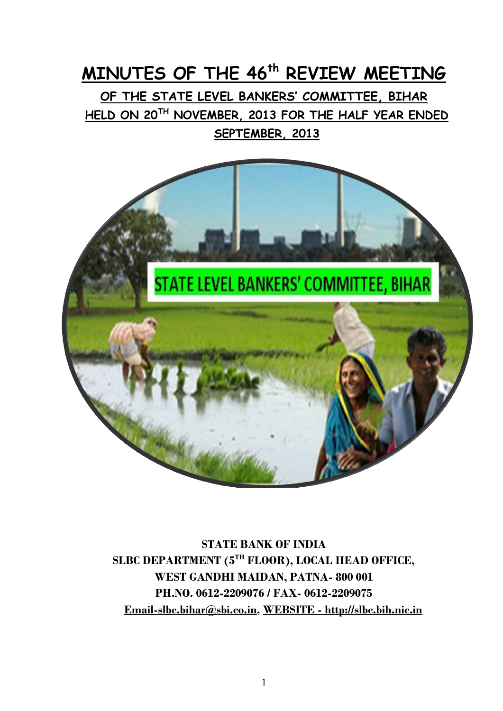# **MINUTES OF THE 46th REVIEW MEETING**

**OF THE STATE LEVEL BANKERS' COMMITTEE, BIHAR HELD ON 20TH NOVEMBER, 2013 FOR THE HALF YEAR ENDED SEPTEMBER, 2013** 



**STATE BANK OF INDIA SLBC DEPARTMENT (5TH FLOOR), LOCAL HEAD OFFICE, WEST GANDHI MAIDAN, PATNA- 800 001 PH.NO. 0612-2209076 / FAX- 0612-2209075 [Email-slbc.bihar@sbi.co.in,](mailto:Email-slbc.bihar@sbi.co.in) WEBSITE - [http://slbc.bih.nic.in](http://slbc.bih.nic.in/)**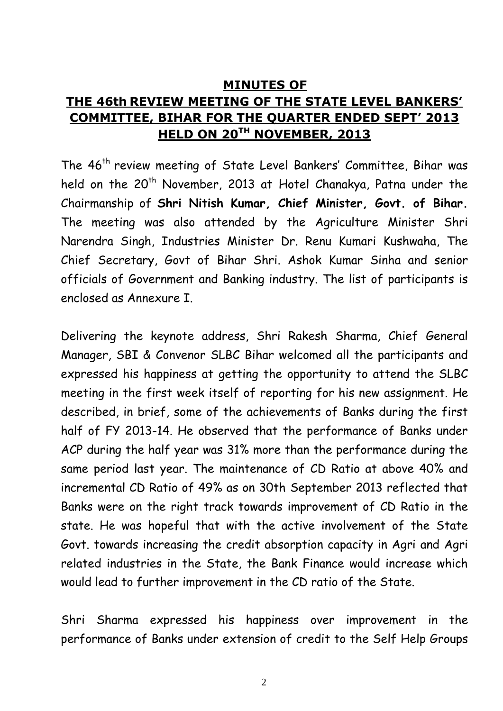#### **MINUTES OF**

# **THE 46th REVIEW MEETING OF THE STATE LEVEL BANKERS' COMMITTEE, BIHAR FOR THE QUARTER ENDED SEPT' 2013 HELD ON 20TH NOVEMBER, 2013**

The 46<sup>th</sup> review meeting of State Level Bankers' Committee, Bihar was held on the 20<sup>th</sup> November, 2013 at Hotel Chanakya, Patna under the Chairmanship of **Shri Nitish Kumar, Chief Minister, Govt. of Bihar.** The meeting was also attended by the Agriculture Minister Shri Narendra Singh, Industries Minister Dr. Renu Kumari Kushwaha, The Chief Secretary, Govt of Bihar Shri. Ashok Kumar Sinha and senior officials of Government and Banking industry. The list of participants is enclosed as Annexure I.

Delivering the keynote address, Shri Rakesh Sharma, Chief General Manager, SBI & Convenor SLBC Bihar welcomed all the participants and expressed his happiness at getting the opportunity to attend the SLBC meeting in the first week itself of reporting for his new assignment. He described, in brief, some of the achievements of Banks during the first half of FY 2013-14. He observed that the performance of Banks under ACP during the half year was 31% more than the performance during the same period last year. The maintenance of CD Ratio at above 40% and incremental CD Ratio of 49% as on 30th September 2013 reflected that Banks were on the right track towards improvement of CD Ratio in the state. He was hopeful that with the active involvement of the State Govt. towards increasing the credit absorption capacity in Agri and Agri related industries in the State, the Bank Finance would increase which would lead to further improvement in the CD ratio of the State.

Shri Sharma expressed his happiness over improvement in the performance of Banks under extension of credit to the Self Help Groups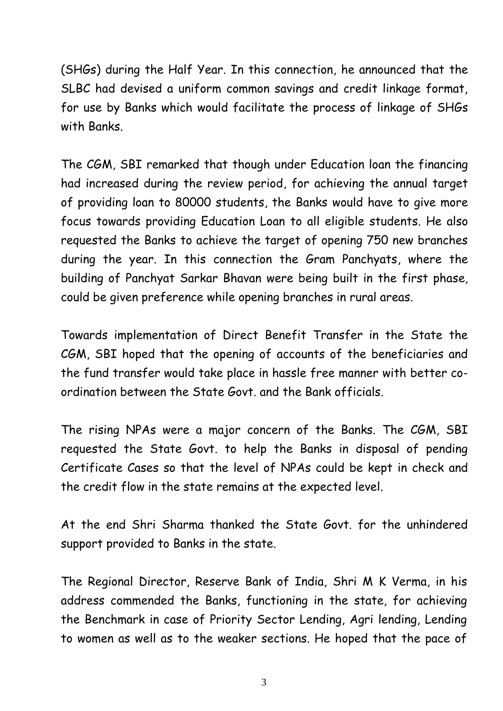(SHGs) during the Half Year. In this connection, he announced that the SLBC had devised a uniform common savings and credit linkage format, for use by Banks which would facilitate the process of linkage of SHGs with Banks.

The CGM, SBI remarked that though under Education loan the financing had increased during the review period, for achieving the annual target of providing loan to 80000 students, the Banks would have to give more focus towards providing Education Loan to all eligible students. He also requested the Banks to achieve the target of opening 750 new branches during the year. In this connection the Gram Panchyats, where the building of Panchyat Sarkar Bhavan were being built in the first phase, could be given preference while opening branches in rural areas.

Towards implementation of Direct Benefit Transfer in the State the CGM, SBI hoped that the opening of accounts of the beneficiaries and the fund transfer would take place in hassle free manner with better coordination between the State Govt. and the Bank officials.

The rising NPAs were a major concern of the Banks. The CGM, SBI requested the State Govt. to help the Banks in disposal of pending Certificate Cases so that the level of NPAs could be kept in check and the credit flow in the state remains at the expected level.

At the end Shri Sharma thanked the State Govt. for the unhindered support provided to Banks in the state.

The Regional Director, Reserve Bank of India, Shri M K Verma, in his address commended the Banks, functioning in the state, for achieving the Benchmark in case of Priority Sector Lending, Agri lending, Lending to women as well as to the weaker sections. He hoped that the pace of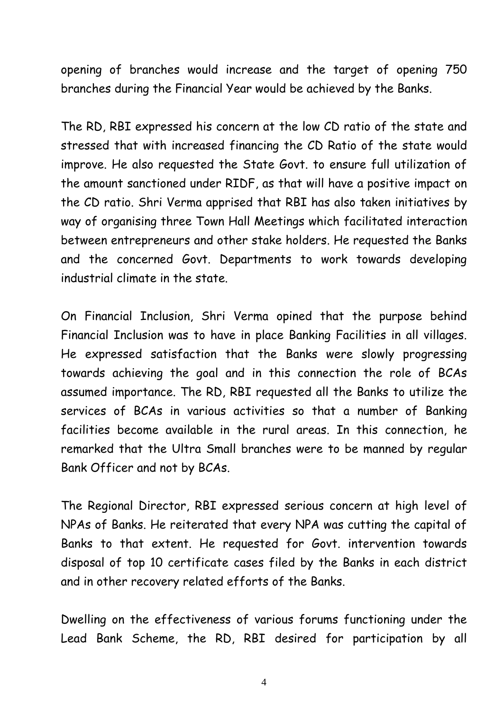opening of branches would increase and the target of opening 750 branches during the Financial Year would be achieved by the Banks.

The RD, RBI expressed his concern at the low CD ratio of the state and stressed that with increased financing the CD Ratio of the state would improve. He also requested the State Govt. to ensure full utilization of the amount sanctioned under RIDF, as that will have a positive impact on the CD ratio. Shri Verma apprised that RBI has also taken initiatives by way of organising three Town Hall Meetings which facilitated interaction between entrepreneurs and other stake holders. He requested the Banks and the concerned Govt. Departments to work towards developing industrial climate in the state.

On Financial Inclusion, Shri Verma opined that the purpose behind Financial Inclusion was to have in place Banking Facilities in all villages. He expressed satisfaction that the Banks were slowly progressing towards achieving the goal and in this connection the role of BCAs assumed importance. The RD, RBI requested all the Banks to utilize the services of BCAs in various activities so that a number of Banking facilities become available in the rural areas. In this connection, he remarked that the Ultra Small branches were to be manned by regular Bank Officer and not by BCAs.

The Regional Director, RBI expressed serious concern at high level of NPAs of Banks. He reiterated that every NPA was cutting the capital of Banks to that extent. He requested for Govt. intervention towards disposal of top 10 certificate cases filed by the Banks in each district and in other recovery related efforts of the Banks.

Dwelling on the effectiveness of various forums functioning under the Lead Bank Scheme, the RD, RBI desired for participation by all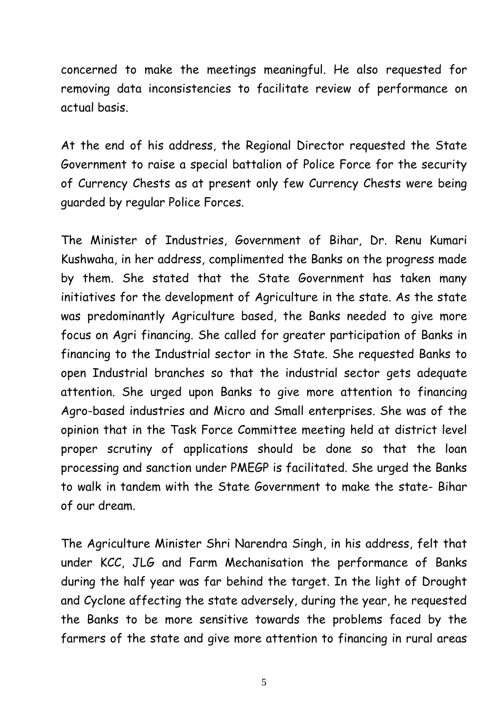concerned to make the meetings meaningful. He also requested for removing data inconsistencies to facilitate review of performance on actual basis.

At the end of his address, the Regional Director requested the State Government to raise a special battalion of Police Force for the security of Currency Chests as at present only few Currency Chests were being guarded by regular Police Forces.

The Minister of Industries, Government of Bihar, Dr. Renu Kumari Kushwaha, in her address, complimented the Banks on the progress made by them. She stated that the State Government has taken many initiatives for the development of Agriculture in the state. As the state was predominantly Agriculture based, the Banks needed to give more focus on Agri financing. She called for greater participation of Banks in financing to the Industrial sector in the State. She requested Banks to open Industrial branches so that the industrial sector gets adequate attention. She urged upon Banks to give more attention to financing Agro-based industries and Micro and Small enterprises. She was of the opinion that in the Task Force Committee meeting held at district level proper scrutiny of applications should be done so that the loan processing and sanction under PMEGP is facilitated. She urged the Banks to walk in tandem with the State Government to make the state- Bihar of our dream.

The Agriculture Minister Shri Narendra Singh, in his address, felt that under KCC, JLG and Farm Mechanisation the performance of Banks during the half year was far behind the target. In the light of Drought and Cyclone affecting the state adversely, during the year, he requested the Banks to be more sensitive towards the problems faced by the farmers of the state and give more attention to financing in rural areas

5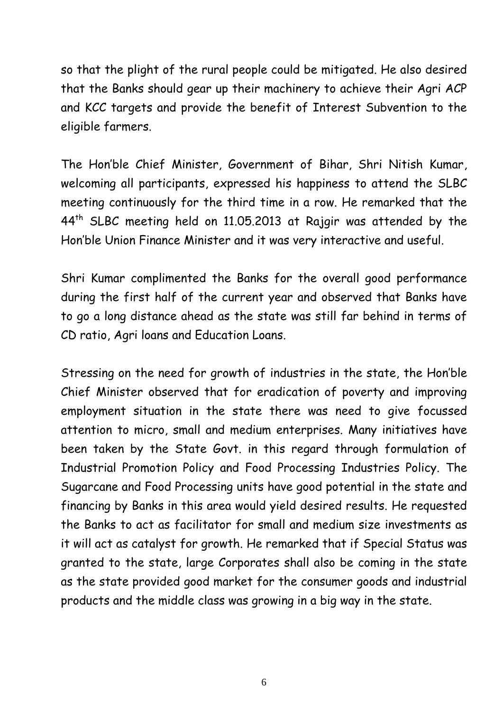so that the plight of the rural people could be mitigated. He also desired that the Banks should gear up their machinery to achieve their Agri ACP and KCC targets and provide the benefit of Interest Subvention to the eligible farmers.

The Hon'ble Chief Minister, Government of Bihar, Shri Nitish Kumar, welcoming all participants, expressed his happiness to attend the SLBC meeting continuously for the third time in a row. He remarked that the 44th SLBC meeting held on 11.05.2013 at Rajgir was attended by the Hon'ble Union Finance Minister and it was very interactive and useful.

Shri Kumar complimented the Banks for the overall good performance during the first half of the current year and observed that Banks have to go a long distance ahead as the state was still far behind in terms of CD ratio, Agri loans and Education Loans.

Stressing on the need for growth of industries in the state, the Hon'ble Chief Minister observed that for eradication of poverty and improving employment situation in the state there was need to give focussed attention to micro, small and medium enterprises. Many initiatives have been taken by the State Govt. in this regard through formulation of Industrial Promotion Policy and Food Processing Industries Policy. The Sugarcane and Food Processing units have good potential in the state and financing by Banks in this area would yield desired results. He requested the Banks to act as facilitator for small and medium size investments as it will act as catalyst for growth. He remarked that if Special Status was granted to the state, large Corporates shall also be coming in the state as the state provided good market for the consumer goods and industrial products and the middle class was growing in a big way in the state.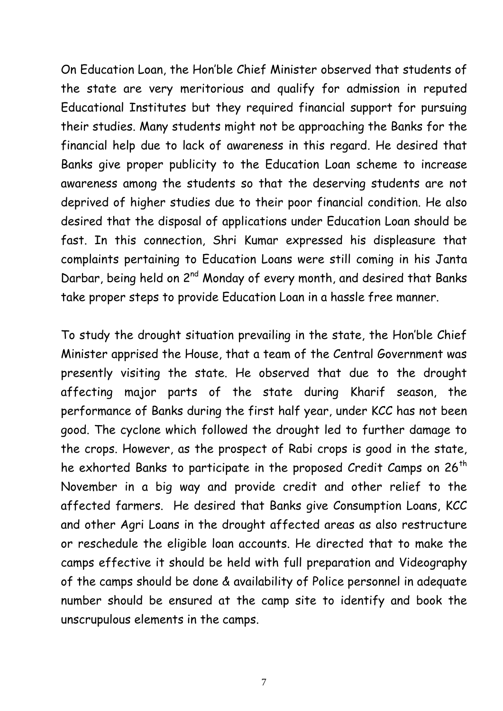On Education Loan, the Hon'ble Chief Minister observed that students of the state are very meritorious and qualify for admission in reputed Educational Institutes but they required financial support for pursuing their studies. Many students might not be approaching the Banks for the financial help due to lack of awareness in this regard. He desired that Banks give proper publicity to the Education Loan scheme to increase awareness among the students so that the deserving students are not deprived of higher studies due to their poor financial condition. He also desired that the disposal of applications under Education Loan should be fast. In this connection, Shri Kumar expressed his displeasure that complaints pertaining to Education Loans were still coming in his Janta Darbar, being held on 2<sup>nd</sup> Monday of every month, and desired that Banks take proper steps to provide Education Loan in a hassle free manner.

To study the drought situation prevailing in the state, the Hon'ble Chief Minister apprised the House, that a team of the Central Government was presently visiting the state. He observed that due to the drought affecting major parts of the state during Kharif season, the performance of Banks during the first half year, under KCC has not been good. The cyclone which followed the drought led to further damage to the crops. However, as the prospect of Rabi crops is good in the state, he exhorted Banks to participate in the proposed Credit Camps on 26<sup>th</sup> November in a big way and provide credit and other relief to the affected farmers. He desired that Banks give Consumption Loans, KCC and other Agri Loans in the drought affected areas as also restructure or reschedule the eligible loan accounts. He directed that to make the camps effective it should be held with full preparation and Videography of the camps should be done & availability of Police personnel in adequate number should be ensured at the camp site to identify and book the unscrupulous elements in the camps.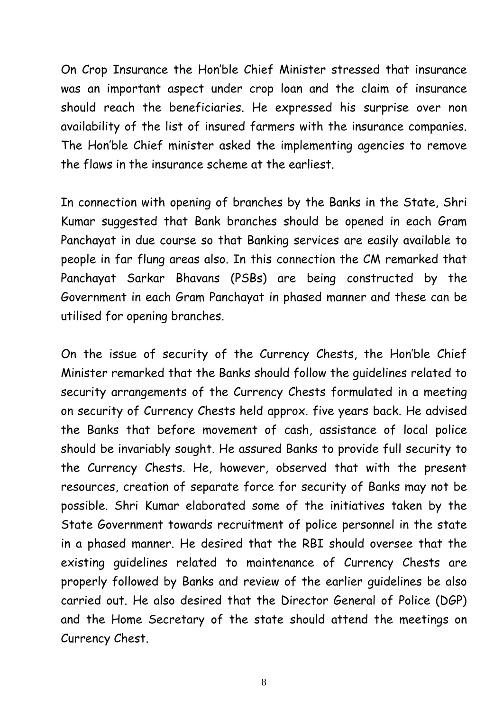On Crop Insurance the Hon'ble Chief Minister stressed that insurance was an important aspect under crop loan and the claim of insurance should reach the beneficiaries. He expressed his surprise over non availability of the list of insured farmers with the insurance companies. The Hon'ble Chief minister asked the implementing agencies to remove the flaws in the insurance scheme at the earliest.

In connection with opening of branches by the Banks in the State, Shri Kumar suggested that Bank branches should be opened in each Gram Panchayat in due course so that Banking services are easily available to people in far flung areas also. In this connection the CM remarked that Panchayat Sarkar Bhavans (PSBs) are being constructed by the Government in each Gram Panchayat in phased manner and these can be utilised for opening branches.

On the issue of security of the Currency Chests, the Hon'ble Chief Minister remarked that the Banks should follow the guidelines related to security arrangements of the Currency Chests formulated in a meeting on security of Currency Chests held approx. five years back. He advised the Banks that before movement of cash, assistance of local police should be invariably sought. He assured Banks to provide full security to the Currency Chests. He, however, observed that with the present resources, creation of separate force for security of Banks may not be possible. Shri Kumar elaborated some of the initiatives taken by the State Government towards recruitment of police personnel in the state in a phased manner. He desired that the RBI should oversee that the existing guidelines related to maintenance of Currency Chests are properly followed by Banks and review of the earlier guidelines be also carried out. He also desired that the Director General of Police (DGP) and the Home Secretary of the state should attend the meetings on Currency Chest.

8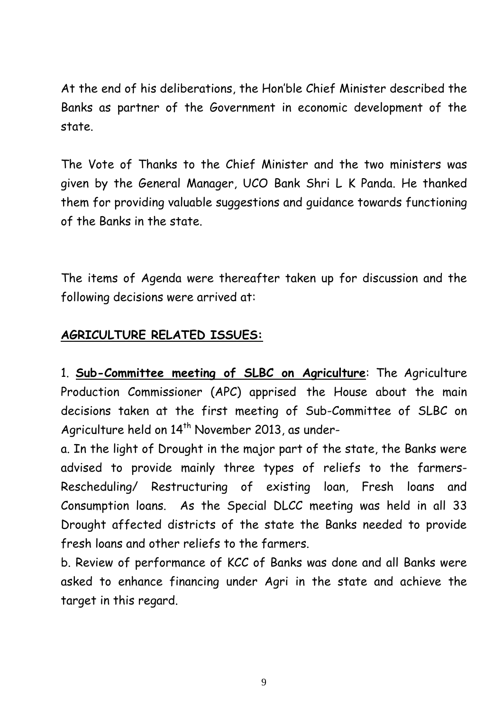At the end of his deliberations, the Hon'ble Chief Minister described the Banks as partner of the Government in economic development of the state.

The Vote of Thanks to the Chief Minister and the two ministers was given by the General Manager, UCO Bank Shri L K Panda. He thanked them for providing valuable suggestions and guidance towards functioning of the Banks in the state.

The items of Agenda were thereafter taken up for discussion and the following decisions were arrived at:

## **AGRICULTURE RELATED ISSUES:**

1. **Sub-Committee meeting of SLBC on Agriculture**: The Agriculture Production Commissioner (APC) apprised the House about the main decisions taken at the first meeting of Sub-Committee of SLBC on Agriculture held on 14<sup>th</sup> November 2013, as under-

a. In the light of Drought in the major part of the state, the Banks were advised to provide mainly three types of reliefs to the farmers-Rescheduling/ Restructuring of existing loan, Fresh loans and Consumption loans. As the Special DLCC meeting was held in all 33 Drought affected districts of the state the Banks needed to provide fresh loans and other reliefs to the farmers.

b. Review of performance of KCC of Banks was done and all Banks were asked to enhance financing under Agri in the state and achieve the target in this regard.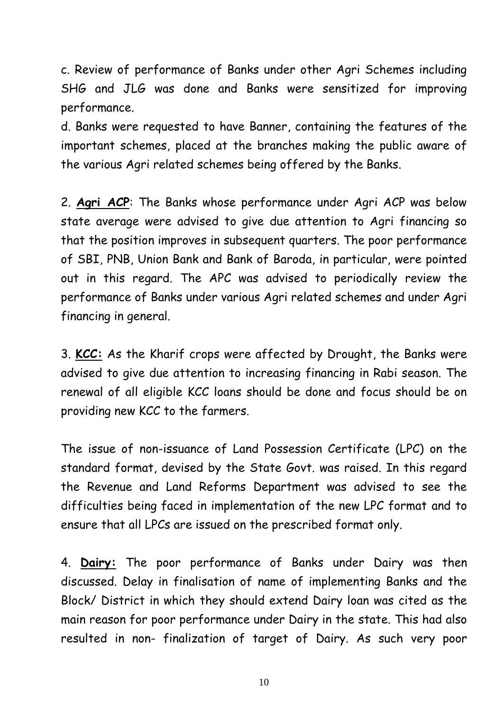c. Review of performance of Banks under other Agri Schemes including SHG and JLG was done and Banks were sensitized for improving performance.

d. Banks were requested to have Banner, containing the features of the important schemes, placed at the branches making the public aware of the various Agri related schemes being offered by the Banks.

2. **Agri ACP**: The Banks whose performance under Agri ACP was below state average were advised to give due attention to Agri financing so that the position improves in subsequent quarters. The poor performance of SBI, PNB, Union Bank and Bank of Baroda, in particular, were pointed out in this regard. The APC was advised to periodically review the performance of Banks under various Agri related schemes and under Agri financing in general.

3. **KCC:** As the Kharif crops were affected by Drought, the Banks were advised to give due attention to increasing financing in Rabi season. The renewal of all eligible KCC loans should be done and focus should be on providing new KCC to the farmers.

The issue of non-issuance of Land Possession Certificate (LPC) on the standard format, devised by the State Govt. was raised. In this regard the Revenue and Land Reforms Department was advised to see the difficulties being faced in implementation of the new LPC format and to ensure that all LPCs are issued on the prescribed format only.

4. **Dairy:** The poor performance of Banks under Dairy was then discussed. Delay in finalisation of name of implementing Banks and the Block/ District in which they should extend Dairy loan was cited as the main reason for poor performance under Dairy in the state. This had also resulted in non- finalization of target of Dairy. As such very poor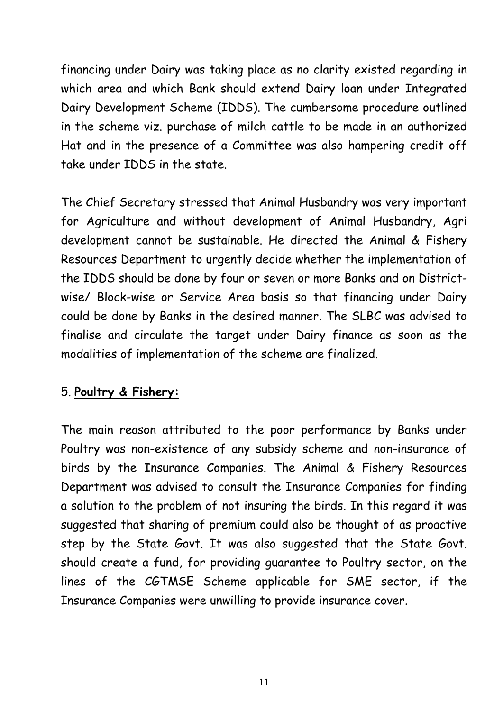financing under Dairy was taking place as no clarity existed regarding in which area and which Bank should extend Dairy loan under Integrated Dairy Development Scheme (IDDS). The cumbersome procedure outlined in the scheme viz. purchase of milch cattle to be made in an authorized Hat and in the presence of a Committee was also hampering credit off take under IDDS in the state.

The Chief Secretary stressed that Animal Husbandry was very important for Agriculture and without development of Animal Husbandry, Agri development cannot be sustainable. He directed the Animal & Fishery Resources Department to urgently decide whether the implementation of the IDDS should be done by four or seven or more Banks and on Districtwise/ Block-wise or Service Area basis so that financing under Dairy could be done by Banks in the desired manner. The SLBC was advised to finalise and circulate the target under Dairy finance as soon as the modalities of implementation of the scheme are finalized.

#### 5. **Poultry & Fishery:**

The main reason attributed to the poor performance by Banks under Poultry was non-existence of any subsidy scheme and non-insurance of birds by the Insurance Companies. The Animal & Fishery Resources Department was advised to consult the Insurance Companies for finding a solution to the problem of not insuring the birds. In this regard it was suggested that sharing of premium could also be thought of as proactive step by the State Govt. It was also suggested that the State Govt. should create a fund, for providing guarantee to Poultry sector, on the lines of the CGTMSE Scheme applicable for SME sector, if the Insurance Companies were unwilling to provide insurance cover.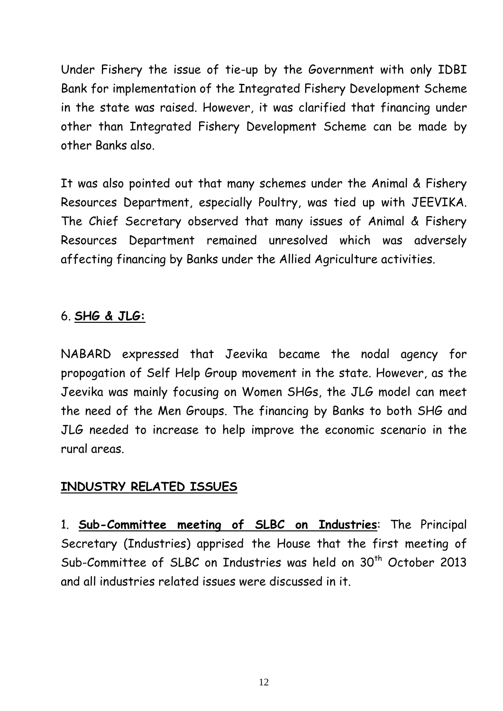Under Fishery the issue of tie-up by the Government with only IDBI Bank for implementation of the Integrated Fishery Development Scheme in the state was raised. However, it was clarified that financing under other than Integrated Fishery Development Scheme can be made by other Banks also.

It was also pointed out that many schemes under the Animal & Fishery Resources Department, especially Poultry, was tied up with JEEVIKA. The Chief Secretary observed that many issues of Animal & Fishery Resources Department remained unresolved which was adversely affecting financing by Banks under the Allied Agriculture activities.

## 6. **SHG & JLG:**

NABARD expressed that Jeevika became the nodal agency for propogation of Self Help Group movement in the state. However, as the Jeevika was mainly focusing on Women SHGs, the JLG model can meet the need of the Men Groups. The financing by Banks to both SHG and JLG needed to increase to help improve the economic scenario in the rural areas.

## **INDUSTRY RELATED ISSUES**

1. **Sub-Committee meeting of SLBC on Industries**: The Principal Secretary (Industries) apprised the House that the first meeting of Sub-Committee of SLBC on Industries was held on 30<sup>th</sup> October 2013 and all industries related issues were discussed in it.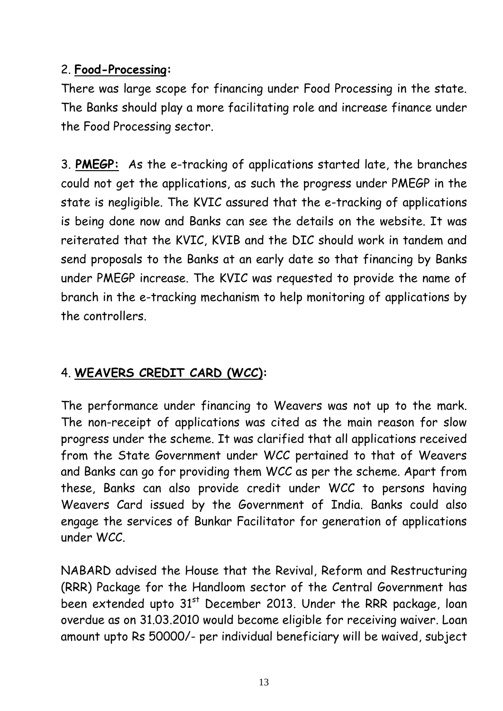## 2. **Food-Processing:**

There was large scope for financing under Food Processing in the state. The Banks should play a more facilitating role and increase finance under the Food Processing sector.

3. **PMEGP:** As the e-tracking of applications started late, the branches could not get the applications, as such the progress under PMEGP in the state is negligible. The KVIC assured that the e-tracking of applications is being done now and Banks can see the details on the website. It was reiterated that the KVIC, KVIB and the DIC should work in tandem and send proposals to the Banks at an early date so that financing by Banks under PMEGP increase. The KVIC was requested to provide the name of branch in the e-tracking mechanism to help monitoring of applications by the controllers.

# 4. **WEAVERS CREDIT CARD (WCC):**

The performance under financing to Weavers was not up to the mark. The non-receipt of applications was cited as the main reason for slow progress under the scheme. It was clarified that all applications received from the State Government under WCC pertained to that of Weavers and Banks can go for providing them WCC as per the scheme. Apart from these, Banks can also provide credit under WCC to persons having Weavers Card issued by the Government of India. Banks could also engage the services of Bunkar Facilitator for generation of applications under WCC.

NABARD advised the House that the Revival, Reform and Restructuring (RRR) Package for the Handloom sector of the Central Government has been extended upto  $31<sup>st</sup>$  December 2013. Under the RRR package, loan overdue as on 31.03.2010 would become eligible for receiving waiver. Loan amount upto Rs 50000/- per individual beneficiary will be waived, subject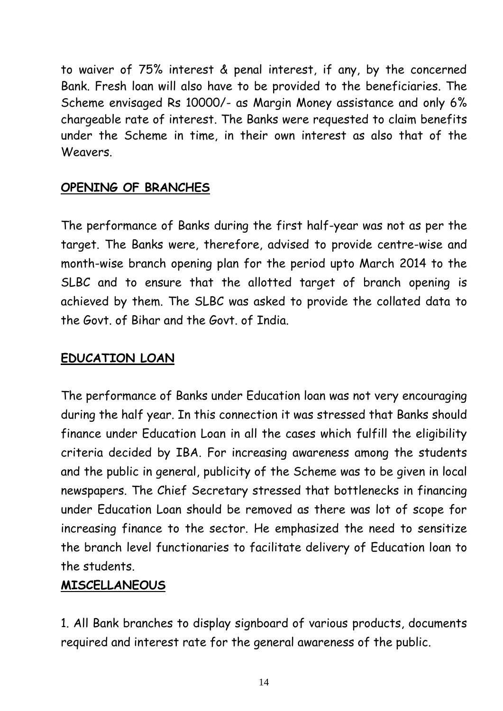to waiver of 75% interest & penal interest, if any, by the concerned Bank. Fresh loan will also have to be provided to the beneficiaries. The Scheme envisaged Rs 10000/- as Margin Money assistance and only 6% chargeable rate of interest. The Banks were requested to claim benefits under the Scheme in time, in their own interest as also that of the Weavers.

## **OPENING OF BRANCHES**

The performance of Banks during the first half-year was not as per the target. The Banks were, therefore, advised to provide centre-wise and month-wise branch opening plan for the period upto March 2014 to the SLBC and to ensure that the allotted target of branch opening is achieved by them. The SLBC was asked to provide the collated data to the Govt. of Bihar and the Govt. of India.

## **EDUCATION LOAN**

The performance of Banks under Education loan was not very encouraging during the half year. In this connection it was stressed that Banks should finance under Education Loan in all the cases which fulfill the eligibility criteria decided by IBA. For increasing awareness among the students and the public in general, publicity of the Scheme was to be given in local newspapers. The Chief Secretary stressed that bottlenecks in financing under Education Loan should be removed as there was lot of scope for increasing finance to the sector. He emphasized the need to sensitize the branch level functionaries to facilitate delivery of Education loan to the students.

#### **MISCELLANEOUS**

1. All Bank branches to display signboard of various products, documents required and interest rate for the general awareness of the public.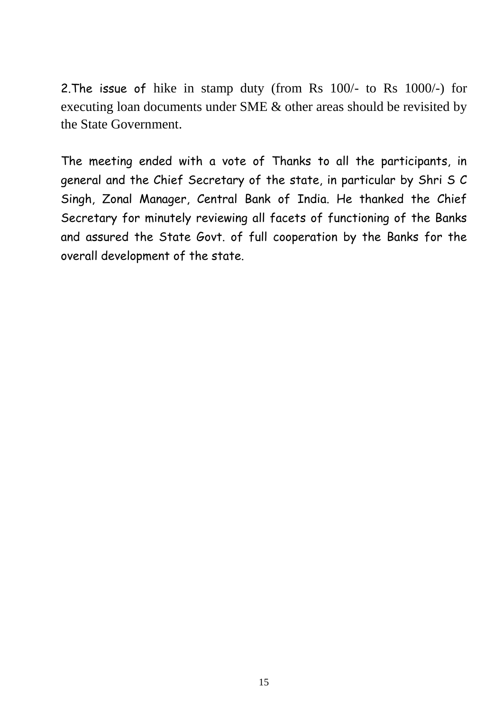2.The issue of hike in stamp duty (from Rs 100/- to Rs 1000/-) for executing loan documents under SME & other areas should be revisited by the State Government.

The meeting ended with a vote of Thanks to all the participants, in general and the Chief Secretary of the state, in particular by Shri S C Singh, Zonal Manager, Central Bank of India. He thanked the Chief Secretary for minutely reviewing all facets of functioning of the Banks and assured the State Govt. of full cooperation by the Banks for the overall development of the state.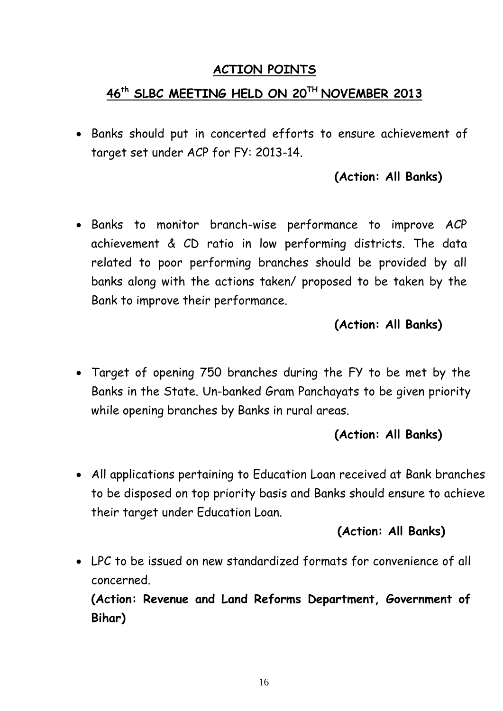#### **ACTION POINTS**

# **46 th SLBC MEETING HELD ON 20 TH NOVEMBER 2013**

 Banks should put in concerted efforts to ensure achievement of target set under ACP for FY: 2013-14.

## **(Action: All Banks)**

 Banks to monitor branch-wise performance to improve ACP achievement & CD ratio in low performing districts. The data related to poor performing branches should be provided by all banks along with the actions taken/ proposed to be taken by the Bank to improve their performance.

## **(Action: All Banks)**

 Target of opening 750 branches during the FY to be met by the Banks in the State. Un-banked Gram Panchayats to be given priority while opening branches by Banks in rural areas.

## **(Action: All Banks)**

 All applications pertaining to Education Loan received at Bank branches to be disposed on top priority basis and Banks should ensure to achieve their target under Education Loan.

#### **(Action: All Banks)**

 LPC to be issued on new standardized formats for convenience of all concerned.

**(Action: Revenue and Land Reforms Department, Government of Bihar)**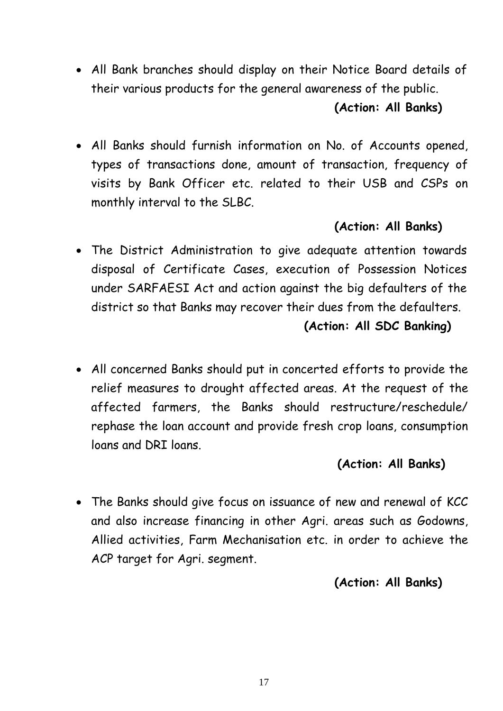All Bank branches should display on their Notice Board details of their various products for the general awareness of the public.

#### **(Action: All Banks)**

 All Banks should furnish information on No. of Accounts opened, types of transactions done, amount of transaction, frequency of visits by Bank Officer etc. related to their USB and CSPs on monthly interval to the SLBC.

# **(Action: All Banks)**

- The District Administration to give adequate attention towards disposal of Certificate Cases, execution of Possession Notices under SARFAESI Act and action against the big defaulters of the district so that Banks may recover their dues from the defaulters. **(Action: All SDC Banking)**
- All concerned Banks should put in concerted efforts to provide the relief measures to drought affected areas. At the request of the affected farmers, the Banks should restructure/reschedule/ rephase the loan account and provide fresh crop loans, consumption loans and DRI loans.

# **(Action: All Banks)**

 The Banks should give focus on issuance of new and renewal of KCC and also increase financing in other Agri. areas such as Godowns, Allied activities, Farm Mechanisation etc. in order to achieve the ACP target for Agri. segment.

# **(Action: All Banks)**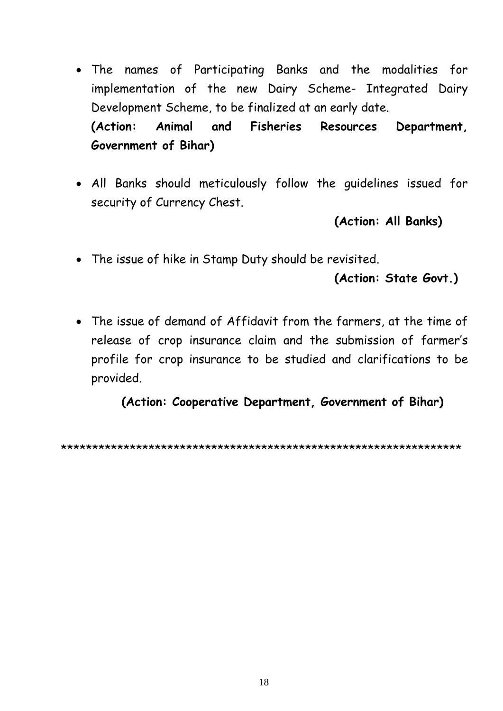- The names of Participating Banks and the modalities for implementation of the new Dairy Scheme- Integrated Dairy Development Scheme, to be finalized at an early date. **(Action: Animal and Fisheries Resources Department, Government of Bihar)**
- All Banks should meticulously follow the guidelines issued for security of Currency Chest.

**(Action: All Banks)**

The issue of hike in Stamp Duty should be revisited.

# **(Action: State Govt.)**

 The issue of demand of Affidavit from the farmers, at the time of release of crop insurance claim and the submission of farmer's profile for crop insurance to be studied and clarifications to be provided.

**(Action: Cooperative Department, Government of Bihar)** 

\*\*\*\*\*\*\*\*\*\*\*\*\*\*\*\*\*\*\*\*\*\*\*\*\*\*\*\*\*\*\*\*\*\*\*\*\*\*\*\*\*\*\*\*\*\*\*\*\*\*\*\*\*\*\*\*\*\*\*\*\*\*\*\*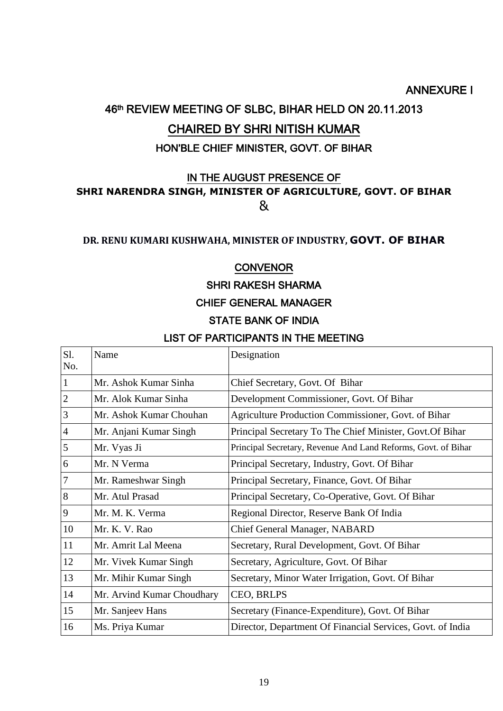#### ANNEXURE I

# 46th REVIEW MEETING OF SLBC, BIHAR HELD ON 20.11.2013 CHAIRED BY SHRI NITISH KUMAR

#### HON'BLE CHIEF MINISTER, GOVT. OF BIHAR

#### IN THE AUGUST PRESENCE OF **SHRI NARENDRA SINGH, MINISTER OF AGRICULTURE, GOVT. OF BIHAR** &

#### **DR. RENU KUMARI KUSHWAHA, MINISTER OF INDUSTRY, GOVT. OF BIHAR**

#### **CONVENOR**

#### SHRI RAKESH SHARMA

#### CHIEF GENERAL MANAGER

#### STATE BANK OF INDIA

#### LIST OF PARTICIPANTS IN THE MEETING

| Sl.<br>No.     | Name                       | Designation                                                   |
|----------------|----------------------------|---------------------------------------------------------------|
| $\mathbf{1}$   | Mr. Ashok Kumar Sinha      | Chief Secretary, Govt. Of Bihar                               |
| $\overline{2}$ | Mr. Alok Kumar Sinha       | Development Commissioner, Govt. Of Bihar                      |
| 3              | Mr. Ashok Kumar Chouhan    | Agriculture Production Commissioner, Govt. of Bihar           |
| $\overline{4}$ | Mr. Anjani Kumar Singh     | Principal Secretary To The Chief Minister, Govt. Of Bihar     |
| 5              | Mr. Vyas Ji                | Principal Secretary, Revenue And Land Reforms, Govt. of Bihar |
| 6              | Mr. N Verma                | Principal Secretary, Industry, Govt. Of Bihar                 |
| $\overline{7}$ | Mr. Rameshwar Singh        | Principal Secretary, Finance, Govt. Of Bihar                  |
| 8              | Mr. Atul Prasad            | Principal Secretary, Co-Operative, Govt. Of Bihar             |
| 9              | Mr. M. K. Verma            | Regional Director, Reserve Bank Of India                      |
| 10             | Mr. K. V. Rao              | Chief General Manager, NABARD                                 |
| 11             | Mr. Amrit Lal Meena        | Secretary, Rural Development, Govt. Of Bihar                  |
| 12             | Mr. Vivek Kumar Singh      | Secretary, Agriculture, Govt. Of Bihar                        |
| 13             | Mr. Mihir Kumar Singh      | Secretary, Minor Water Irrigation, Govt. Of Bihar             |
| 14             | Mr. Arvind Kumar Choudhary | CEO, BRLPS                                                    |
| 15             | Mr. Sanjeev Hans           | Secretary (Finance-Expenditure), Govt. Of Bihar               |
| 16             | Ms. Priya Kumar            | Director, Department Of Financial Services, Govt. of India    |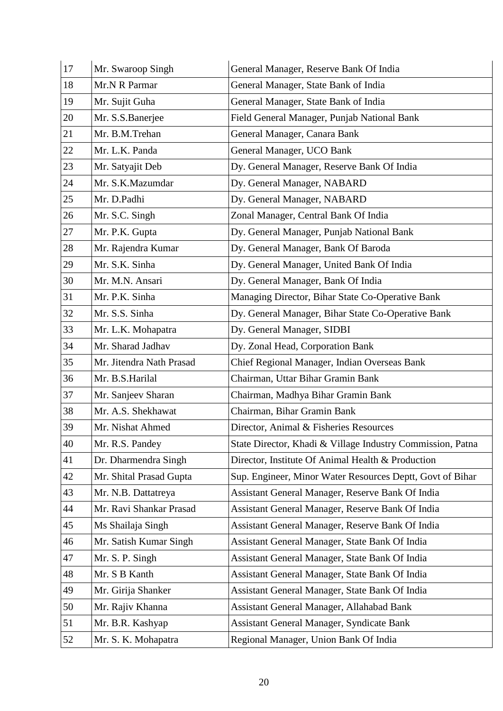| 17 | Mr. Swaroop Singh        | General Manager, Reserve Bank Of India                     |
|----|--------------------------|------------------------------------------------------------|
| 18 | Mr.N R Parmar            | General Manager, State Bank of India                       |
| 19 | Mr. Sujit Guha           | General Manager, State Bank of India                       |
| 20 | Mr. S.S.Banerjee         | Field General Manager, Punjab National Bank                |
| 21 | Mr. B.M.Trehan           | General Manager, Canara Bank                               |
| 22 | Mr. L.K. Panda           | General Manager, UCO Bank                                  |
| 23 | Mr. Satyajit Deb         | Dy. General Manager, Reserve Bank Of India                 |
| 24 | Mr. S.K.Mazumdar         | Dy. General Manager, NABARD                                |
| 25 | Mr. D.Padhi              | Dy. General Manager, NABARD                                |
| 26 | Mr. S.C. Singh           | Zonal Manager, Central Bank Of India                       |
| 27 | Mr. P.K. Gupta           | Dy. General Manager, Punjab National Bank                  |
| 28 | Mr. Rajendra Kumar       | Dy. General Manager, Bank Of Baroda                        |
| 29 | Mr. S.K. Sinha           | Dy. General Manager, United Bank Of India                  |
| 30 | Mr. M.N. Ansari          | Dy. General Manager, Bank Of India                         |
| 31 | Mr. P.K. Sinha           | Managing Director, Bihar State Co-Operative Bank           |
| 32 | Mr. S.S. Sinha           | Dy. General Manager, Bihar State Co-Operative Bank         |
| 33 | Mr. L.K. Mohapatra       | Dy. General Manager, SIDBI                                 |
| 34 | Mr. Sharad Jadhav        | Dy. Zonal Head, Corporation Bank                           |
| 35 | Mr. Jitendra Nath Prasad | Chief Regional Manager, Indian Overseas Bank               |
| 36 | Mr. B.S.Harilal          | Chairman, Uttar Bihar Gramin Bank                          |
| 37 | Mr. Sanjeev Sharan       | Chairman, Madhya Bihar Gramin Bank                         |
| 38 | Mr. A.S. Shekhawat       | Chairman, Bihar Gramin Bank                                |
| 39 | Mr. Nishat Ahmed         | Director, Animal & Fisheries Resources                     |
| 40 | Mr. R.S. Pandey          | State Director, Khadi & Village Industry Commission, Patna |
| 41 | Dr. Dharmendra Singh     | Director, Institute Of Animal Health & Production          |
| 42 | Mr. Shital Prasad Gupta  | Sup. Engineer, Minor Water Resources Deptt, Govt of Bihar  |
| 43 | Mr. N.B. Dattatreya      | Assistant General Manager, Reserve Bank Of India           |
| 44 | Mr. Ravi Shankar Prasad  | Assistant General Manager, Reserve Bank Of India           |
| 45 | Ms Shailaja Singh        | Assistant General Manager, Reserve Bank Of India           |
| 46 | Mr. Satish Kumar Singh   | Assistant General Manager, State Bank Of India             |
| 47 | Mr. S. P. Singh          | Assistant General Manager, State Bank Of India             |
| 48 | Mr. S B Kanth            | Assistant General Manager, State Bank Of India             |
| 49 | Mr. Girija Shanker       | Assistant General Manager, State Bank Of India             |
| 50 | Mr. Rajiv Khanna         | Assistant General Manager, Allahabad Bank                  |
| 51 | Mr. B.R. Kashyap         | Assistant General Manager, Syndicate Bank                  |
| 52 | Mr. S. K. Mohapatra      | Regional Manager, Union Bank Of India                      |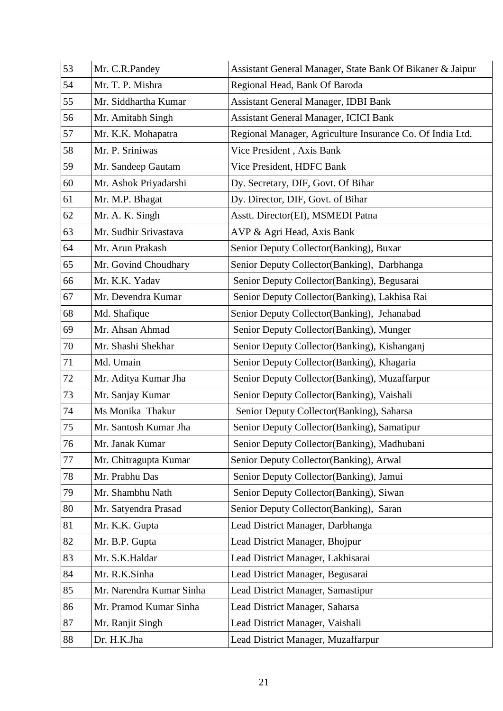| 53 | Mr. C.R.Pandey           | Assistant General Manager, State Bank Of Bikaner & Jaipur |
|----|--------------------------|-----------------------------------------------------------|
| 54 | Mr. T. P. Mishra         | Regional Head, Bank Of Baroda                             |
| 55 | Mr. Siddhartha Kumar     | <b>Assistant General Manager, IDBI Bank</b>               |
| 56 | Mr. Amitabh Singh        | <b>Assistant General Manager, ICICI Bank</b>              |
| 57 | Mr. K.K. Mohapatra       | Regional Manager, Agriculture Insurance Co. Of India Ltd. |
| 58 | Mr. P. Sriniwas          | Vice President, Axis Bank                                 |
| 59 | Mr. Sandeep Gautam       | Vice President, HDFC Bank                                 |
| 60 | Mr. Ashok Priyadarshi    | Dy. Secretary, DIF, Govt. Of Bihar                        |
| 61 | Mr. M.P. Bhagat          | Dy. Director, DIF, Govt. of Bihar                         |
| 62 | Mr. A. K. Singh          | Asstt. Director(EI), MSMEDI Patna                         |
| 63 | Mr. Sudhir Srivastava    | AVP & Agri Head, Axis Bank                                |
| 64 | Mr. Arun Prakash         | Senior Deputy Collector (Banking), Buxar                  |
| 65 | Mr. Govind Choudhary     | Senior Deputy Collector (Banking), Darbhanga              |
| 66 | Mr. K.K. Yadav           | Senior Deputy Collector(Banking), Begusarai               |
| 67 | Mr. Devendra Kumar       | Senior Deputy Collector(Banking), Lakhisa Rai             |
| 68 | Md. Shafique             | Senior Deputy Collector(Banking), Jehanabad               |
| 69 | Mr. Ahsan Ahmad          | Senior Deputy Collector (Banking), Munger                 |
| 70 | Mr. Shashi Shekhar       | Senior Deputy Collector(Banking), Kishanganj              |
| 71 | Md. Umain                | Senior Deputy Collector(Banking), Khagaria                |
| 72 | Mr. Aditya Kumar Jha     | Senior Deputy Collector (Banking), Muzaffarpur            |
| 73 | Mr. Sanjay Kumar         | Senior Deputy Collector(Banking), Vaishali                |
| 74 | Ms Monika Thakur         | Senior Deputy Collector(Banking), Saharsa                 |
| 75 | Mr. Santosh Kumar Jha    | Senior Deputy Collector(Banking), Samatipur               |
| 76 | Mr. Janak Kumar          | Senior Deputy Collector(Banking), Madhubani               |
| 77 | Mr. Chitragupta Kumar    | Senior Deputy Collector(Banking), Arwal                   |
| 78 | Mr. Prabhu Das           | Senior Deputy Collector(Banking), Jamui                   |
| 79 | Mr. Shambhu Nath         | Senior Deputy Collector(Banking), Siwan                   |
| 80 | Mr. Satyendra Prasad     | Senior Deputy Collector(Banking), Saran                   |
| 81 | Mr. K.K. Gupta           | Lead District Manager, Darbhanga                          |
| 82 | Mr. B.P. Gupta           | Lead District Manager, Bhojpur                            |
| 83 | Mr. S.K.Haldar           | Lead District Manager, Lakhisarai                         |
| 84 | Mr. R.K.Sinha            | Lead District Manager, Begusarai                          |
| 85 | Mr. Narendra Kumar Sinha | Lead District Manager, Samastipur                         |
| 86 | Mr. Pramod Kumar Sinha   | Lead District Manager, Saharsa                            |
| 87 | Mr. Ranjit Singh         | Lead District Manager, Vaishali                           |
| 88 | Dr. H.K.Jha              | Lead District Manager, Muzaffarpur                        |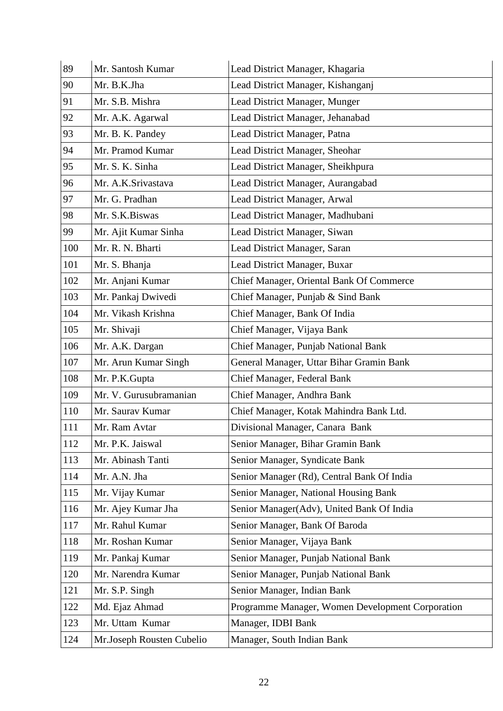| 89  | Mr. Santosh Kumar         | Lead District Manager, Khagaria                  |
|-----|---------------------------|--------------------------------------------------|
| 90  | Mr. B.K.Jha               | Lead District Manager, Kishanganj                |
| 91  | Mr. S.B. Mishra           | Lead District Manager, Munger                    |
| 92  | Mr. A.K. Agarwal          | Lead District Manager, Jehanabad                 |
| 93  | Mr. B. K. Pandey          | Lead District Manager, Patna                     |
| 94  | Mr. Pramod Kumar          | Lead District Manager, Sheohar                   |
| 95  | Mr. S. K. Sinha           | Lead District Manager, Sheikhpura                |
| 96  | Mr. A.K.Srivastava        | Lead District Manager, Aurangabad                |
| 97  | Mr. G. Pradhan            | Lead District Manager, Arwal                     |
| 98  | Mr. S.K.Biswas            | Lead District Manager, Madhubani                 |
| 99  | Mr. Ajit Kumar Sinha      | Lead District Manager, Siwan                     |
| 100 | Mr. R. N. Bharti          | Lead District Manager, Saran                     |
| 101 | Mr. S. Bhanja             | Lead District Manager, Buxar                     |
| 102 | Mr. Anjani Kumar          | Chief Manager, Oriental Bank Of Commerce         |
| 103 | Mr. Pankaj Dwivedi        | Chief Manager, Punjab & Sind Bank                |
| 104 | Mr. Vikash Krishna        | Chief Manager, Bank Of India                     |
| 105 | Mr. Shivaji               | Chief Manager, Vijaya Bank                       |
| 106 | Mr. A.K. Dargan           | Chief Manager, Punjab National Bank              |
| 107 | Mr. Arun Kumar Singh      | General Manager, Uttar Bihar Gramin Bank         |
| 108 | Mr. P.K.Gupta             | Chief Manager, Federal Bank                      |
| 109 | Mr. V. Gurusubramanian    | Chief Manager, Andhra Bank                       |
| 110 | Mr. Saurav Kumar          | Chief Manager, Kotak Mahindra Bank Ltd.          |
| 111 | Mr. Ram Avtar             | Divisional Manager, Canara Bank                  |
| 112 | Mr. P.K. Jaiswal          | Senior Manager, Bihar Gramin Bank                |
| 113 | Mr. Abinash Tanti         | Senior Manager, Syndicate Bank                   |
| 114 | Mr. A.N. Jha              | Senior Manager (Rd), Central Bank Of India       |
| 115 | Mr. Vijay Kumar           | Senior Manager, National Housing Bank            |
| 116 | Mr. Ajey Kumar Jha        | Senior Manager(Adv), United Bank Of India        |
| 117 | Mr. Rahul Kumar           | Senior Manager, Bank Of Baroda                   |
| 118 | Mr. Roshan Kumar          | Senior Manager, Vijaya Bank                      |
| 119 | Mr. Pankaj Kumar          | Senior Manager, Punjab National Bank             |
| 120 | Mr. Narendra Kumar        | Senior Manager, Punjab National Bank             |
| 121 | Mr. S.P. Singh            | Senior Manager, Indian Bank                      |
| 122 | Md. Ejaz Ahmad            | Programme Manager, Women Development Corporation |
| 123 | Mr. Uttam Kumar           | Manager, IDBI Bank                               |
| 124 | Mr.Joseph Rousten Cubelio | Manager, South Indian Bank                       |